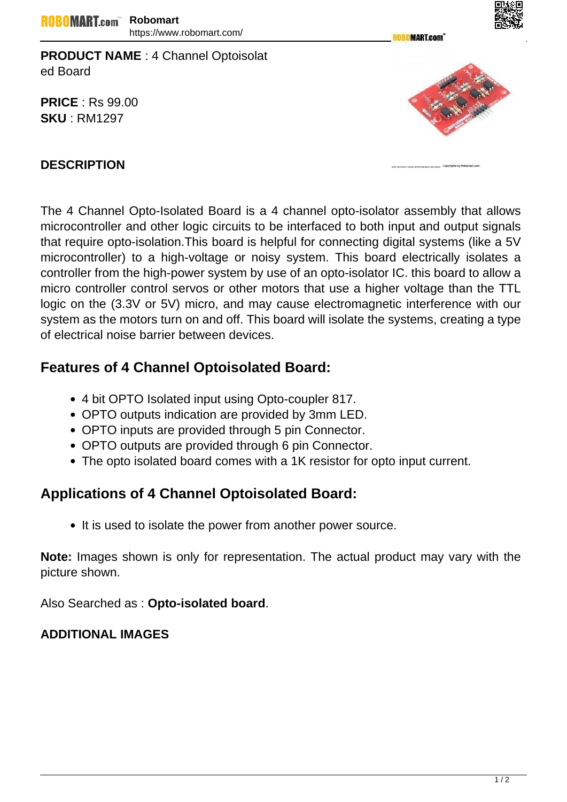**MART.com** 



**PRICE** : Rs 99.00 **SKU** : RM1297



## **DESCRIPTION**

The 4 Channel Opto-Isolated Board is a 4 channel opto-isolator assembly that allows microcontroller and other logic circuits to be interfaced to both input and output signals that require opto-isolation.This board is helpful for connecting digital systems (like a 5V microcontroller) to a high-voltage or noisy system. This board electrically isolates a controller from the high-power system by use of an opto-isolator IC. this board to allow a micro controller control servos or other motors that use a higher voltage than the TTL logic on the (3.3V or 5V) micro, and may cause electromagnetic interference with our system as the motors turn on and off. This board will isolate the systems, creating a type of electrical noise barrier between devices.

# **Features of 4 Channel Optoisolated Board:**

- 4 bit OPTO Isolated input using Opto-coupler 817.
- OPTO outputs indication are provided by 3mm LED.
- OPTO inputs are provided through 5 pin Connector.
- OPTO outputs are provided through 6 pin Connector.
- The opto isolated board comes with a 1K resistor for opto input current.

# **Applications of 4 Channel Optoisolated Board:**

• It is used to isolate the power from another power source.

**Note:** Images shown is only for representation. The actual product may vary with the picture shown.

Also Searched as : **Opto-isolated board**.

# **ADDITIONAL IMAGES**